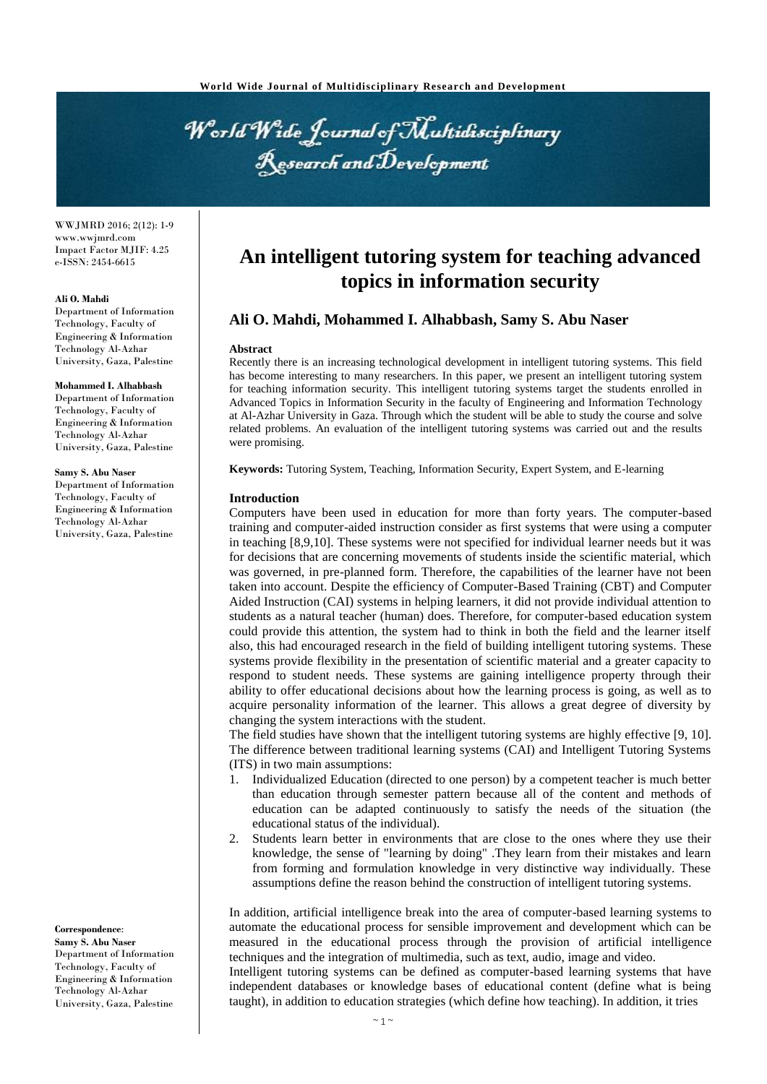World Wide Journal of Multidisciplinary Research and Development

WWJMRD 2016; 2(12): 1-9 www.wwjmrd.com Impact Factor MJIF: 4.25 e-ISSN: 2454-6615

#### **Ali O. Mahdi**

Department of Information Technology, Faculty of Engineering & Information Technology Al-Azhar University, Gaza, Palestine

#### **Mohammed I. Alhabbash**

Department of Information Technology, Faculty of Engineering & Information Technology Al-Azhar University, Gaza, Palestine

#### **Samy S. Abu Naser**

Department of Information Technology, Faculty of Engineering & Information Technology Al-Azhar University, Gaza, Palestine

**Correspondence**: **Samy S. Abu Naser**

Department of Information Technology, Faculty of Engineering & Information Technology Al-Azhar University, Gaza, Palestine

# **An intelligent tutoring system for teaching advanced topics in information security**

# **Ali O. Mahdi, Mohammed I. Alhabbash, Samy S. Abu Naser**

#### **Abstract**

Recently there is an increasing technological development in intelligent tutoring systems. This field has become interesting to many researchers. In this paper, we present an intelligent tutoring system for teaching information security. This intelligent tutoring systems target the students enrolled in Advanced Topics in Information Security in the faculty of Engineering and Information Technology at Al-Azhar University in Gaza. Through which the student will be able to study the course and solve related problems. An evaluation of the intelligent tutoring systems was carried out and the results were promising.

**Keywords:** Tutoring System, Teaching, Information Security, Expert System, and E-learning

## **Introduction**

Computers have been used in education for more than forty years. The computer-based training and computer-aided instruction consider as first systems that were using a computer in teaching [8,9,10]. These systems were not specified for individual learner needs but it was for decisions that are concerning movements of students inside the scientific material, which was governed, in pre-planned form. Therefore, the capabilities of the learner have not been taken into account. Despite the efficiency of Computer-Based Training (CBT) and Computer Aided Instruction (CAI) systems in helping learners, it did not provide individual attention to students as a natural teacher (human) does. Therefore, for computer-based education system could provide this attention, the system had to think in both the field and the learner itself also, this had encouraged research in the field of building intelligent tutoring systems. These systems provide flexibility in the presentation of scientific material and a greater capacity to respond to student needs. These systems are gaining intelligence property through their ability to offer educational decisions about how the learning process is going, as well as to acquire personality information of the learner. This allows a great degree of diversity by changing the system interactions with the student.

The field studies have shown that the intelligent tutoring systems are highly effective [9, 10]. The difference between traditional learning systems (CAI) and Intelligent Tutoring Systems (ITS) in two main assumptions:

- 1. Individualized Education (directed to one person) by a competent teacher is much better than education through semester pattern because all of the content and methods of education can be adapted continuously to satisfy the needs of the situation (the educational status of the individual).
- 2. Students learn better in environments that are close to the ones where they use their knowledge, the sense of "learning by doing" .They learn from their mistakes and learn from forming and formulation knowledge in very distinctive way individually. These assumptions define the reason behind the construction of intelligent tutoring systems.

In addition, artificial intelligence break into the area of computer-based learning systems to automate the educational process for sensible improvement and development which can be measured in the educational process through the provision of artificial intelligence techniques and the integration of multimedia, such as text, audio, image and video.

Intelligent tutoring systems can be defined as computer-based learning systems that have independent databases or knowledge bases of educational content (define what is being taught), in addition to education strategies (which define how teaching). In addition, it tries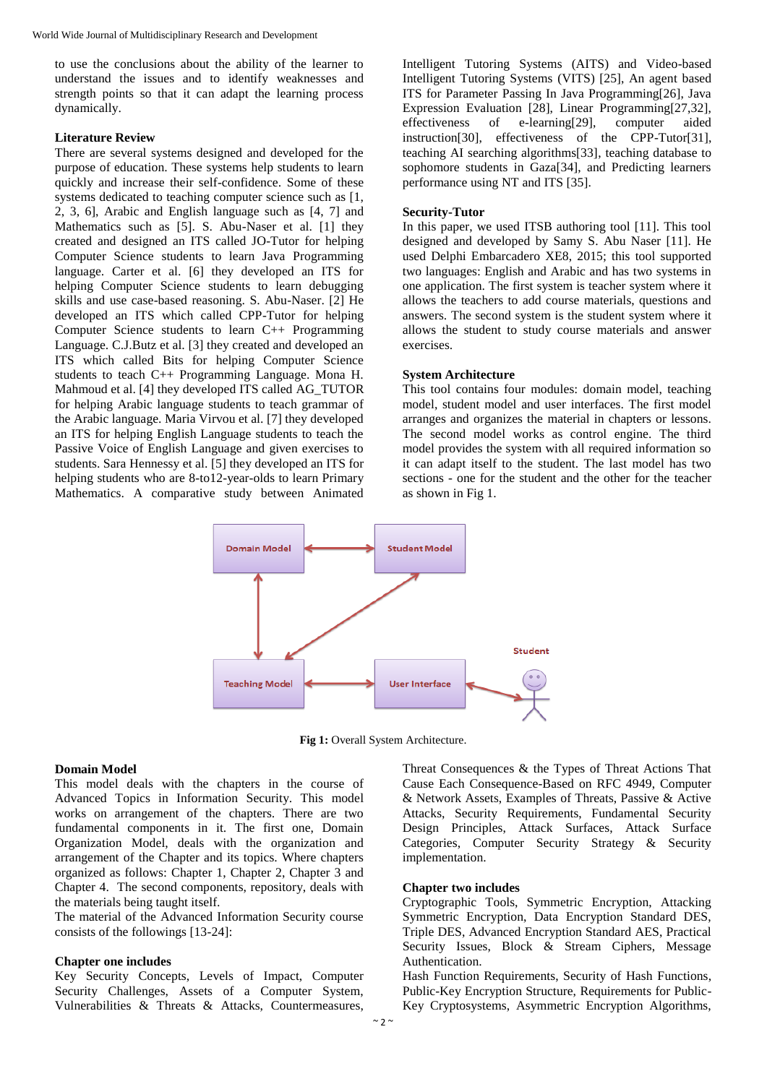to use the conclusions about the ability of the learner to understand the issues and to identify weaknesses and strength points so that it can adapt the learning process dynamically.

# **Literature Review**

There are several systems designed and developed for the purpose of education. These systems help students to learn quickly and increase their self-confidence. Some of these systems dedicated to teaching computer science such as [1, 2, 3, 6], Arabic and English language such as [4, 7] and Mathematics such as [5]. S. Abu-Naser et al. [1] they created and designed an ITS called JO-Tutor for helping Computer Science students to learn Java Programming language. Carter et al. [6] they developed an ITS for helping Computer Science students to learn debugging skills and use case-based reasoning. S. Abu-Naser. [2] He developed an ITS which called CPP-Tutor for helping Computer Science students to learn C++ Programming Language. C.J.Butz et al. [3] they created and developed an ITS which called Bits for helping Computer Science students to teach C++ Programming Language. Mona H. Mahmoud et al. [4] they developed ITS called AG\_TUTOR for helping Arabic language students to teach grammar of the Arabic language. Maria Virvou et al. [7] they developed an ITS for helping English Language students to teach the Passive Voice of English Language and given exercises to students. Sara Hennessy et al. [5] they developed an ITS for helping students who are 8-to12-year-olds to learn Primary Mathematics. A comparative study between Animated Intelligent Tutoring Systems (AITS) and Video-based Intelligent Tutoring Systems (VITS) [25], An agent based ITS for Parameter Passing In Java Programming[26], Java Expression Evaluation [28], Linear Programming[27,32], effectiveness of e-learning[29], computer aided instruction[30], effectiveness of the CPP-Tutor[31], teaching AI searching algorithms[33], teaching database to sophomore students in Gaza[34], and Predicting learners performance using NT and ITS [35].

## **Security-Tutor**

In this paper, we used ITSB authoring tool [11]. This tool designed and developed by Samy S. Abu Naser [11]. He used Delphi Embarcadero XE8, 2015; this tool supported two languages: English and Arabic and has two systems in one application. The first system is teacher system where it allows the teachers to add course materials, questions and answers. The second system is the student system where it allows the student to study course materials and answer exercises.

## **System Architecture**

This tool contains four modules: domain model, teaching model, student model and user interfaces. The first model arranges and organizes the material in chapters or lessons. The second model works as control engine. The third model provides the system with all required information so it can adapt itself to the student. The last model has two sections - one for the student and the other for the teacher as shown in Fig 1.



**Fig 1:** Overall System Architecture.

## **Domain Model**

This model deals with the chapters in the course of Advanced Topics in Information Security. This model works on arrangement of the chapters. There are two fundamental components in it. The first one, Domain Organization Model, deals with the organization and arrangement of the Chapter and its topics. Where chapters organized as follows: Chapter 1, Chapter 2, Chapter 3 and Chapter 4. The second components, repository, deals with the materials being taught itself.

The material of the Advanced Information Security course consists of the followings [13-24]:

#### **Chapter one includes**

Key Security Concepts, Levels of Impact, Computer Security Challenges, Assets of a Computer System, Vulnerabilities & Threats & Attacks, Countermeasures,

Threat Consequences & the Types of Threat Actions That Cause Each Consequence-Based on RFC 4949, Computer & Network Assets, Examples of Threats, Passive & Active Attacks, Security Requirements, Fundamental Security Design Principles, Attack Surfaces, Attack Surface Categories, Computer Security Strategy & Security implementation.

## **Chapter two includes**

Cryptographic Tools, Symmetric Encryption, Attacking Symmetric Encryption, Data Encryption Standard DES, Triple DES, Advanced Encryption Standard AES, Practical Security Issues, Block & Stream Ciphers, Message Authentication.

Hash Function Requirements, Security of Hash Functions, Public-Key Encryption Structure, Requirements for Public-Key Cryptosystems, Asymmetric Encryption Algorithms,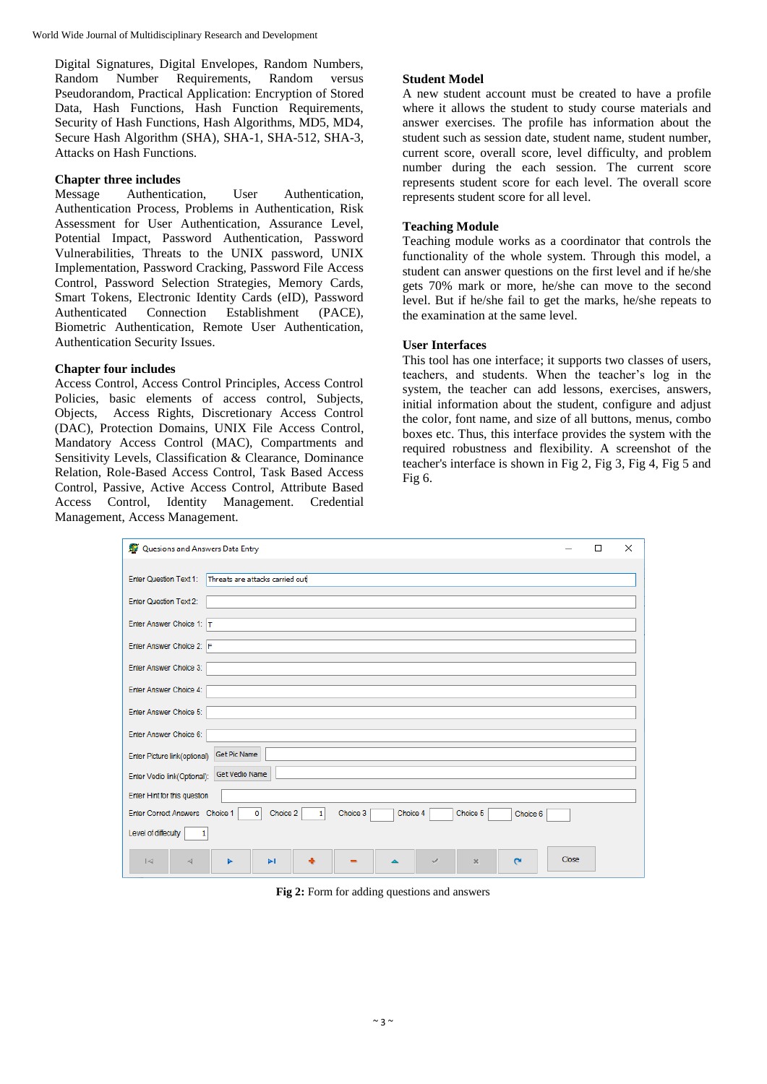Digital Signatures, Digital Envelopes, Random Numbers, Random Number Requirements, Random versus Pseudorandom, Practical Application: Encryption of Stored Data, Hash Functions, Hash Function Requirements, Security of Hash Functions, Hash Algorithms, MD5, MD4, Secure Hash Algorithm (SHA), SHA-1, SHA-512, SHA-3, Attacks on Hash Functions.

## **Chapter three includes**

Message Authentication, User Authentication, Authentication Process, Problems in Authentication, Risk Assessment for User Authentication, Assurance Level, Potential Impact, Password Authentication, Password Vulnerabilities, Threats to the UNIX password, UNIX Implementation, Password Cracking, Password File Access Control, Password Selection Strategies, Memory Cards, Smart Tokens, Electronic Identity Cards (eID), Password Authenticated Connection Establishment (PACE), Biometric Authentication, Remote User Authentication, Authentication Security Issues.

# **Chapter four includes**

Access Control, Access Control Principles, Access Control Policies, basic elements of access control, Subjects, Objects, Access Rights, Discretionary Access Control (DAC), Protection Domains, UNIX File Access Control, Mandatory Access Control (MAC), Compartments and Sensitivity Levels, Classification & Clearance, Dominance Relation, Role-Based Access Control, Task Based Access Control, Passive, Active Access Control, Attribute Based Access Control, Identity Management. Credential Management, Access Management.

# **Student Model**

A new student account must be created to have a profile where it allows the student to study course materials and answer exercises. The profile has information about the student such as session date, student name, student number, current score, overall score, level difficulty, and problem number during the each session. The current score represents student score for each level. The overall score represents student score for all level.

# **Teaching Module**

Teaching module works as a coordinator that controls the functionality of the whole system. Through this model, a student can answer questions on the first level and if he/she gets 70% mark or more, he/she can move to the second level. But if he/she fail to get the marks, he/she repeats to the examination at the same level.

# **User Interfaces**

This tool has one interface; it supports two classes of users, teachers, and students. When the teacher's log in the system, the teacher can add lessons, exercises, answers, initial information about the student, configure and adjust the color, font name, and size of all buttons, menus, combo boxes etc. Thus, this interface provides the system with the required robustness and flexibility. A screenshot of the teacher's interface is shown in Fig 2, Fig 3, Fig 4, Fig 5 and Fig 6.

| Quesions and Answers Data Entry                                                                       |                       | П | $\times$ |
|-------------------------------------------------------------------------------------------------------|-----------------------|---|----------|
| <b>Enter Question Text 1:</b><br>Threats are attacks carried out                                      |                       |   |          |
| <b>Enter Question Text 2:</b>                                                                         |                       |   |          |
| Enter Answer Choice 1: T                                                                              |                       |   |          |
| Enter Answer Choice 2: F                                                                              |                       |   |          |
| Enter Answer Choice 3:                                                                                |                       |   |          |
| Enter Answer Choice 4:                                                                                |                       |   |          |
| Enter Answer Choice 5:                                                                                |                       |   |          |
| Enter Answer Choice 6:                                                                                |                       |   |          |
| <b>Get Pic Name</b><br>Enter Picture link(optional)                                                   |                       |   |          |
| <b>Get Vedio Name</b><br>Enter Vedio link(Optional):                                                  |                       |   |          |
| Enter Hint for this question                                                                          |                       |   |          |
| Enter Correct Answers Choice 1<br> 0 <br>Choice 2<br>Choice 3<br>Choice 4<br>Choice 5<br>$\mathbf{1}$ | Choice 6              |   |          |
| Level of diffeculty<br>1                                                                              |                       |   |          |
| $\blacktriangleright$<br>$ \leq$<br>4<br>$\mathbf{x}$<br>✓<br>ь                                       | Close<br>$\mathbf{C}$ |   |          |

**Fig 2:** Form for adding questions and answers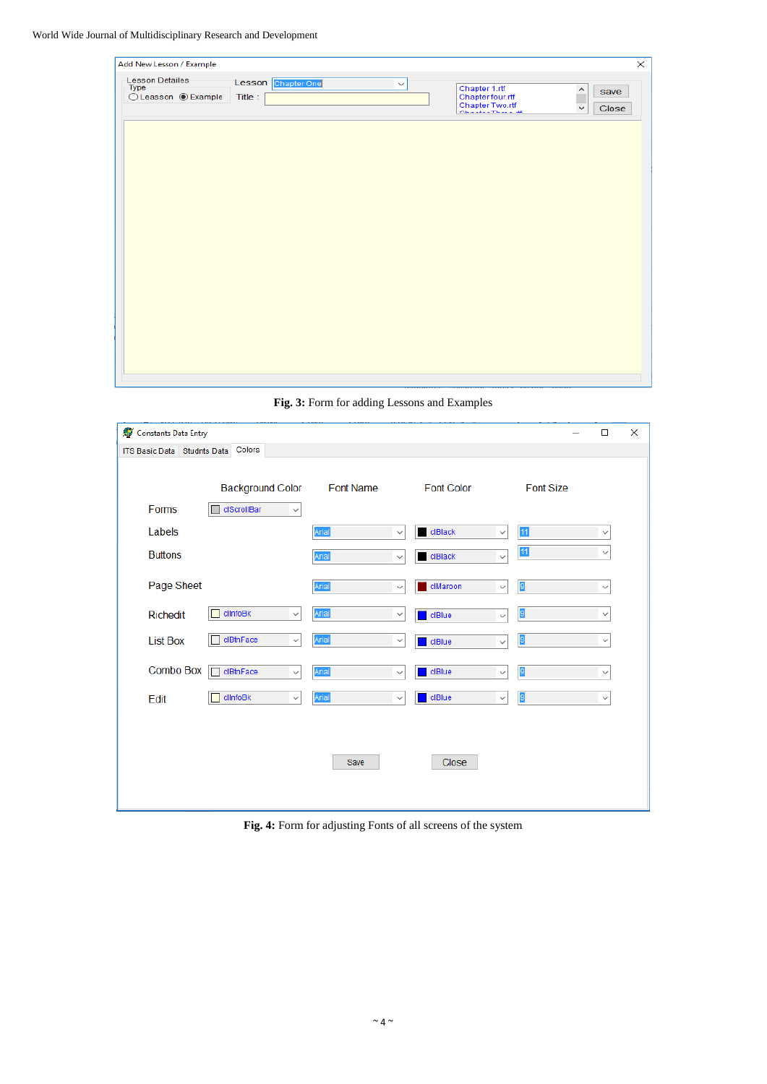World Wide Journal of Multidisciplinary Research and Development

| Add New Lesson / Example                       |                               |              |                                                                                 | $\times$                           |
|------------------------------------------------|-------------------------------|--------------|---------------------------------------------------------------------------------|------------------------------------|
| Lesson Detailes<br>Type<br>◯ Leasson ◉ Example | Lesson Chapter One<br>Title : | $\checkmark$ | Chapter 1.rtf<br>Chapter four.rtf<br>Chapter Two.rtf<br><b>ORACLES TREES AR</b> | ۸<br>save<br>Close<br>$\checkmark$ |
|                                                |                               |              |                                                                                 |                                    |
|                                                |                               |              |                                                                                 |                                    |
|                                                |                               |              |                                                                                 |                                    |
|                                                |                               |              |                                                                                 |                                    |
|                                                |                               |              |                                                                                 |                                    |
|                                                |                               |              |                                                                                 |                                    |
|                                                |                               |              |                                                                                 |                                    |
|                                                |                               |              |                                                                                 |                                    |
|                                                |                               |              |                                                                                 |                                    |
|                                                |                               |              |                                                                                 |                                    |
|                                                |                               |              | unnararret, sunnarchar annsre onsum consta                                      |                                    |

**Fig. 3:** Form for adding Lessons and Examples

| Constants Data Entry        |                                |                  |              |                   |              |                  | $\Box$       | $\times$ |
|-----------------------------|--------------------------------|------------------|--------------|-------------------|--------------|------------------|--------------|----------|
| ITS Basic Data Studnts Data | Colors                         |                  |              |                   |              |                  |              |          |
|                             | <b>Background Color</b>        | <b>Font Name</b> |              | <b>Font Color</b> |              | <b>Font Size</b> |              |          |
| Forms                       | clScrollBar<br>$\checkmark$    |                  |              |                   |              |                  |              |          |
| Labels                      |                                | Arial            | $\checkmark$ | clBlack           | $\checkmark$ | 11               | $\checkmark$ |          |
| <b>Buttons</b>              |                                | Arial            | $\checkmark$ | clBlack           | $\checkmark$ | 11               | $\checkmark$ |          |
| Page Sheet                  |                                | Arial            | $\checkmark$ | clMaroon          | $\checkmark$ | 9                | $\checkmark$ |          |
| Richedit                    | clinfoBk<br>$\checkmark$       | Arial            | $\checkmark$ | clBlue            | $\checkmark$ | 9                | $\checkmark$ |          |
| <b>List Box</b>             | clBtnFace<br>$\checkmark$      | Arial            | $\checkmark$ | clBlue            | $\checkmark$ | 9                | $\checkmark$ |          |
| Combo Box                   | ┍<br>clBtnFace<br>$\checkmark$ | Arial            | $\checkmark$ | ciBlue            | $\checkmark$ | 9                | $\checkmark$ |          |
| Edit                        | clinfoBk<br>$\checkmark$       | Arial            | $\checkmark$ | ciBlue            | $\checkmark$ | 9                | $\checkmark$ |          |
|                             |                                |                  |              |                   |              |                  |              |          |
|                             |                                | Save             |              | Close             |              |                  |              |          |
|                             |                                |                  |              |                   |              |                  |              |          |

**Fig. 4:** Form for adjusting Fonts of all screens of the system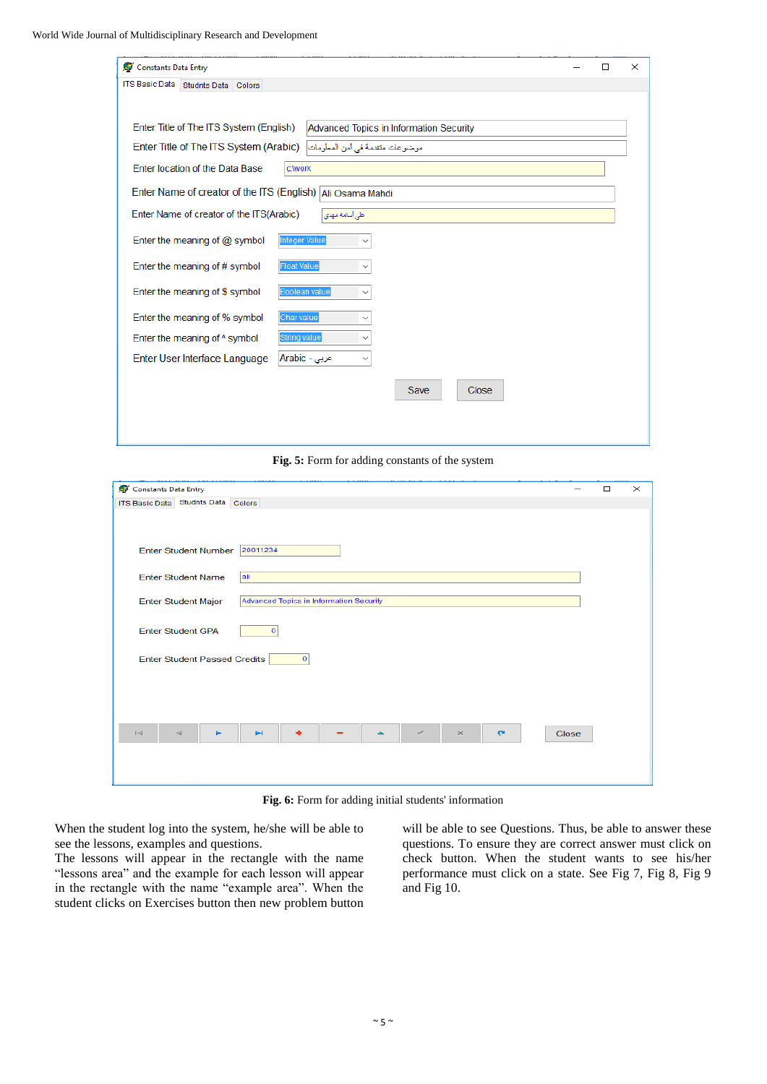| Constants Data Entry                                                                      | $\Box$ | $\times$ |
|-------------------------------------------------------------------------------------------|--------|----------|
| ITS Basic Data Studnts Data Colors                                                        |        |          |
|                                                                                           |        |          |
| Enter Title of The ITS System (English)<br><b>Advanced Topics in Information Security</b> |        |          |
| Enter Title of The ITS System (Arabic)<br>موضوعات منقدمة في أمن المعلومات                 |        |          |
| Enter location of the Data Base<br>c:\work                                                |        |          |
| Enter Name of creator of the ITS (English) Ali Osama Mahdi                                |        |          |
| Enter Name of creator of the ITS (Arabic)<br>طی أسامه مهدی                                |        |          |
| <b>Integer Value</b><br>Enter the meaning of $@$ symbol                                   |        |          |
| <b>Float Value</b><br>Enter the meaning of # symbol                                       |        |          |
| Boolean value<br>Enter the meaning of \$ symbol                                           |        |          |
| Enter the meaning of % symbol<br>Char value<br>$\checkmark$                               |        |          |
| String value<br>Enter the meaning of $\land$ symbol<br>$\checkmark$                       |        |          |
| Enter User Interface Language<br>عربی - Arabic<br>$\checkmark$                            |        |          |
| Save<br>Close                                                                             |        |          |

**Fig. 5:** Form for adding constants of the system

| ITS Basic Data Studnts Data Colors                                                                                           |  |
|------------------------------------------------------------------------------------------------------------------------------|--|
|                                                                                                                              |  |
|                                                                                                                              |  |
| 20011234<br><b>Enter Student Number</b>                                                                                      |  |
| <b>Enter Student Name</b><br>ali                                                                                             |  |
| Advanced Topics in Information Security<br><b>Enter Student Major</b>                                                        |  |
| <b>Enter Student GPA</b><br>$\mathbf{o}$                                                                                     |  |
| Enter Student Passed Credits<br>$\circ$                                                                                      |  |
|                                                                                                                              |  |
|                                                                                                                              |  |
|                                                                                                                              |  |
| $\blacktriangleright$ l<br><b>Close</b><br>$\vert \prec$<br>$\times$<br>$\mathbf{C}$<br>$\triangleleft$<br>►<br>$\checkmark$ |  |
|                                                                                                                              |  |
|                                                                                                                              |  |

**Fig. 6:** Form for adding initial students' information

When the student log into the system, he/she will be able to see the lessons, examples and questions.

The lessons will appear in the rectangle with the name "lessons area" and the example for each lesson will appear in the rectangle with the name "example area". When the student clicks on Exercises button then new problem button will be able to see Questions. Thus, be able to answer these questions. To ensure they are correct answer must click on check button. When the student wants to see his/her performance must click on a state. See Fig 7, Fig 8, Fig 9 and Fig 10.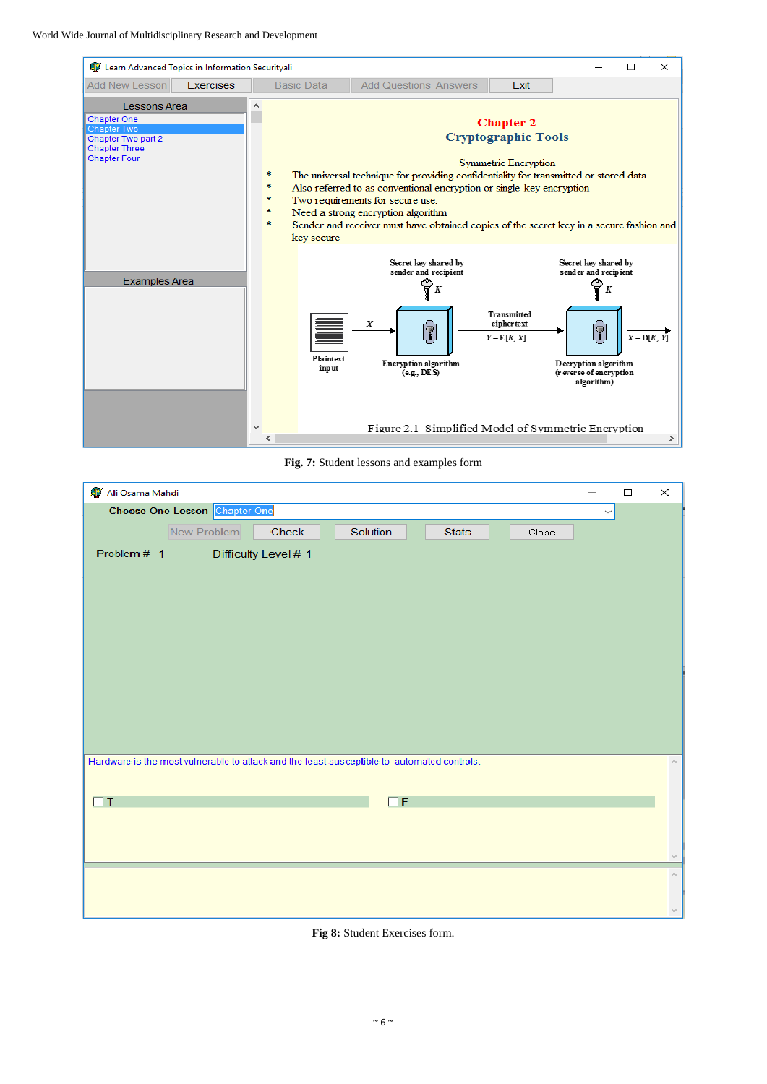



| Ali Osama Mahdi                                                                            |              | $\Box$ | $\times$       |
|--------------------------------------------------------------------------------------------|--------------|--------|----------------|
| Choose One Lesson Chapter One                                                              | $\checkmark$ |        |                |
| New Problem<br>Check<br>Solution<br><b>Stats</b><br>Close                                  |              |        |                |
| Problem # 1<br>Difficulty Level # 1                                                        |              |        |                |
|                                                                                            |              |        |                |
|                                                                                            |              |        |                |
|                                                                                            |              |        |                |
|                                                                                            |              |        |                |
|                                                                                            |              |        |                |
|                                                                                            |              |        |                |
|                                                                                            |              |        |                |
|                                                                                            |              |        |                |
|                                                                                            |              |        |                |
| Hardware is the most vulnerable to attack and the least susceptible to automated controls. |              |        | $\mu_{\rm{b}}$ |
|                                                                                            |              |        |                |
| $\Box T$<br>$\Box F$                                                                       |              |        |                |
|                                                                                            |              |        |                |
|                                                                                            |              |        |                |
|                                                                                            |              |        | v              |
|                                                                                            |              |        | $\bar{\rho}$   |
|                                                                                            |              |        |                |
|                                                                                            |              |        | $\mathcal{Q}$  |

**Fig 8:** Student Exercises form.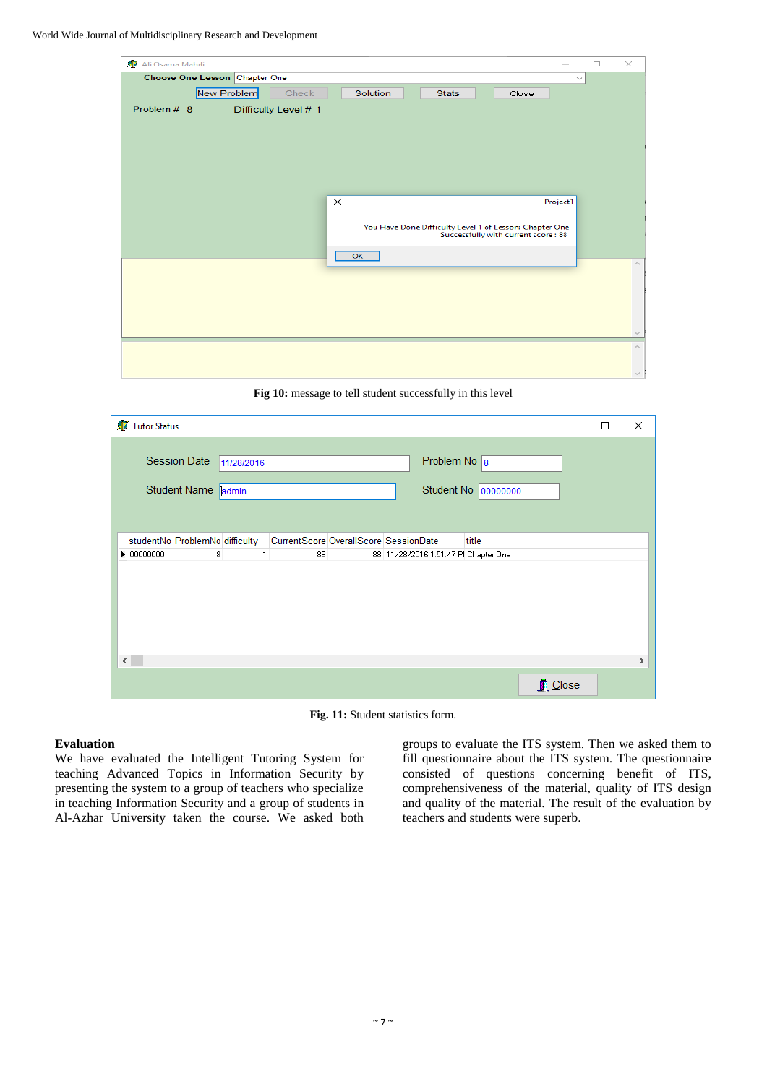World Wide Journal of Multidisciplinary Research and Development

| Ali Osama Mahdi               |                      |          |              |                                                         |              | $\Box$ | $\times$                    |
|-------------------------------|----------------------|----------|--------------|---------------------------------------------------------|--------------|--------|-----------------------------|
| Choose One Lesson Chapter One |                      |          |              |                                                         | $\checkmark$ |        |                             |
| New Problem                   | Check                | Solution | <b>Stats</b> | Close                                                   |              |        |                             |
| Problem # 8                   | Difficulty Level # 1 |          |              |                                                         |              |        |                             |
|                               |                      |          |              |                                                         |              |        |                             |
|                               |                      |          |              |                                                         |              |        |                             |
|                               |                      |          |              |                                                         |              |        |                             |
|                               |                      |          |              |                                                         |              |        |                             |
|                               |                      |          |              |                                                         |              |        |                             |
|                               | $\times$             |          |              |                                                         | Project1     |        |                             |
|                               |                      |          |              |                                                         |              |        |                             |
|                               |                      |          |              | You Have Done Difficulty Level 1 of Lesson: Chapter One |              |        |                             |
|                               |                      |          |              | Successfully with current score: 88                     |              |        |                             |
|                               |                      | OK       |              |                                                         |              |        |                             |
|                               |                      |          |              |                                                         |              |        | $\mathcal{O}_2$             |
|                               |                      |          |              |                                                         |              |        |                             |
|                               |                      |          |              |                                                         |              |        |                             |
|                               |                      |          |              |                                                         |              |        |                             |
|                               |                      |          |              |                                                         |              |        | $\mathcal{N}_{\rm eff}$     |
|                               |                      |          |              |                                                         |              |        | $\mathcal{O}_{\mathcal{N}}$ |
|                               |                      |          |              |                                                         |              |        |                             |
|                               |                      |          |              |                                                         |              |        | <b>Build</b>                |

**Fig 10:** message to tell student successfully in this level

| Tutor Status                                            |                                       |                                      |                     | □ | $\times$ |
|---------------------------------------------------------|---------------------------------------|--------------------------------------|---------------------|---|----------|
| <b>Session Date</b><br>11/28/2016<br>Student Name admin |                                       | Problem No $\boxed{8}$               | Student No 00000000 |   |          |
| studentNo ProblemNo difficulty                          | CurrentScore OverallScore SessionDate |                                      | title               |   |          |
| 8<br>$\triangleright$ 00000000                          | 88                                    | 88 11/28/2016 1:51:47 PI Chapter One |                     |   |          |
| $\langle$                                               |                                       |                                      |                     |   | >        |
|                                                         |                                       |                                      | <b>n</b> Close      |   |          |

**Fig. 11:** Student statistics form.

# **Evaluation**

We have evaluated the Intelligent Tutoring System for teaching Advanced Topics in Information Security by presenting the system to a group of teachers who specialize in teaching Information Security and a group of students in Al-Azhar University taken the course. We asked both groups to evaluate the ITS system. Then we asked them to fill questionnaire about the ITS system. The questionnaire consisted of questions concerning benefit of ITS, comprehensiveness of the material, quality of ITS design and quality of the material. The result of the evaluation by teachers and students were superb.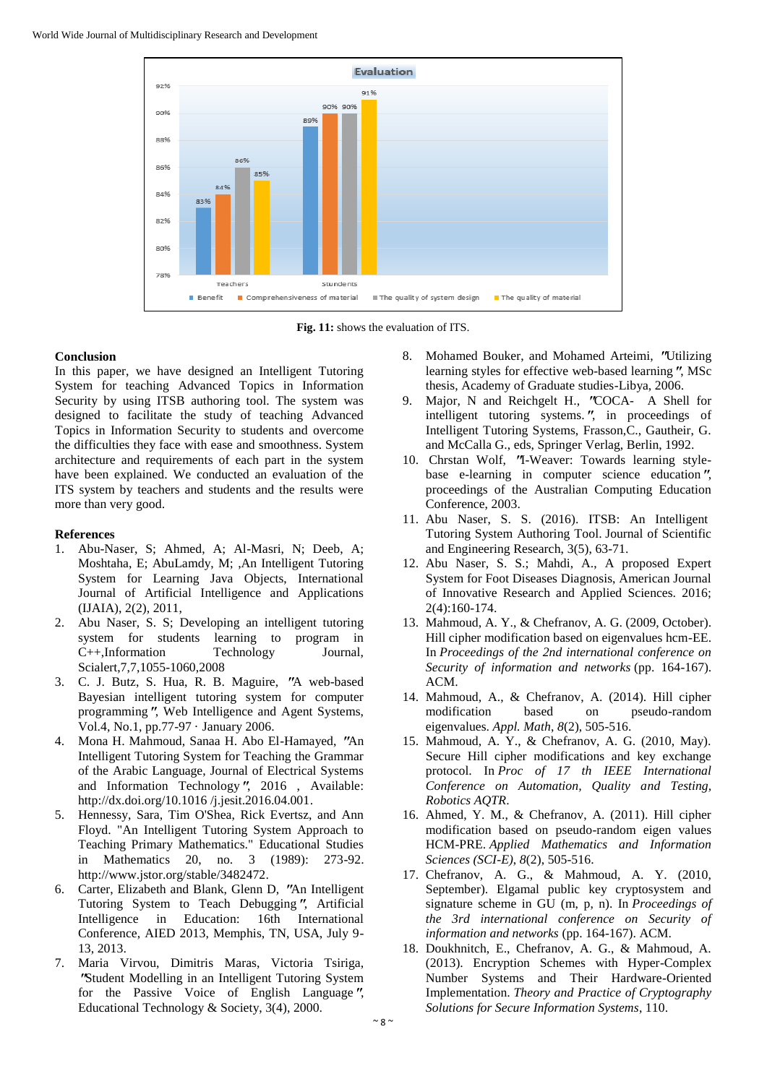

**Fig. 11:** shows the evaluation of ITS.

## **Conclusion**

In this paper, we have designed an Intelligent Tutoring System for teaching Advanced Topics in Information Security by using ITSB authoring tool. The system was designed to facilitate the study of teaching Advanced Topics in Information Security to students and overcome the difficulties they face with ease and smoothness. System architecture and requirements of each part in the system have been explained. We conducted an evaluation of the ITS system by teachers and students and the results were more than very good.

## **References**

- 1. Abu-Naser, S; Ahmed, A; Al-Masri, N; Deeb, A; Moshtaha, E; AbuLamdy, M; ,An Intelligent Tutoring System for Learning Java Objects, International Journal of Artificial Intelligence and Applications (IJAIA), 2(2), 2011,
- 2. Abu Naser, S. S; Developing an intelligent tutoring system for students learning to program in C++,Information Technology Journal, Scialert,7,7,1055-1060,2008
- 3. C. J. Butz, S. Hua, R. B. Maguire, **"**A web-based Bayesian intelligent tutoring system for computer programming**"**, Web Intelligence and Agent Systems, Vol.4, No.1, pp.77-97 · January 2006.
- 4. Mona H. Mahmoud, Sanaa H. Abo El-Hamayed, **"**An Intelligent Tutoring System for Teaching the Grammar of the Arabic Language, Journal of Electrical Systems and Information Technology**"**, 2016 , Available: http://dx.doi.org/10.1016 /j.jesit.2016.04.001.
- 5. Hennessy, Sara, Tim O'Shea, Rick Evertsz, and Ann Floyd. "An Intelligent Tutoring System Approach to Teaching Primary Mathematics." Educational Studies in Mathematics 20, no. 3 (1989): 273-92. http://www.jstor.org/stable/3482472.
- 6. Carter, Elizabeth and Blank, Glenn D, **"**An Intelligent Tutoring System to Teach Debugging**"**, Artificial Intelligence in Education: 16th International Conference, AIED 2013, Memphis, TN, USA, July 9- 13, 2013.
- 7. Maria Virvou, Dimitris Maras, Victoria Tsiriga, **"**Student Modelling in an Intelligent Tutoring System for the Passive Voice of English Language**"**, Educational Technology & Society, 3(4), 2000.
- 8. Mohamed Bouker, and Mohamed Arteimi, **"**Utilizing learning styles for effective web-based learning**"**, MSc thesis, Academy of Graduate studies-Libya, 2006.
- 9. Major, N and Reichgelt H., **"**COCA- A Shell for intelligent tutoring systems.**"**, in proceedings of Intelligent Tutoring Systems, Frasson,C., Gautheir, G. and McCalla G., eds, Springer Verlag, Berlin, 1992.
- 10. Chrstan Wolf, **"**I-Weaver: Towards learning stylebase e-learning in computer science education**"**, proceedings of the Australian Computing Education Conference, 2003.
- 11. Abu Naser, S. S. (2016). ITSB: An Intelligent Tutoring System Authoring Tool. Journal of Scientific and Engineering Research, 3(5), 63-71.
- 12. Abu Naser, S. S.; Mahdi, A., A proposed Expert System for Foot Diseases Diagnosis, American Journal of Innovative Research and Applied Sciences. 2016; 2(4):160-174.
- 13. Mahmoud, A. Y., & Chefranov, A. G. (2009, October). Hill cipher modification based on eigenvalues hcm-EE. In *Proceedings of the 2nd international conference on Security of information and networks* (pp. 164-167). ACM.
- 14. Mahmoud, A., & Chefranov, A. (2014). Hill cipher modification based on pseudo-random eigenvalues. *Appl. Math*, *8*(2), 505-516.
- 15. Mahmoud, A. Y., & Chefranov, A. G. (2010, May). Secure Hill cipher modifications and key exchange protocol. In *Proc of 17 th IEEE International Conference on Automation, Quality and Testing, Robotics AQTR*.
- 16. Ahmed, Y. M., & Chefranov, A. (2011). Hill cipher modification based on pseudo-random eigen values HCM-PRE. *Applied Mathematics and Information Sciences (SCI-E)*, *8*(2), 505-516.
- 17. Chefranov, A. G., & Mahmoud, A. Y. (2010, September). Elgamal public key cryptosystem and signature scheme in GU (m, p, n). In *Proceedings of the 3rd international conference on Security of information and networks* (pp. 164-167). ACM.
- 18. Doukhnitch, E., Chefranov, A. G., & Mahmoud, A. (2013). Encryption Schemes with Hyper-Complex Number Systems and Their Hardware-Oriented Implementation. *Theory and Practice of Cryptography Solutions for Secure Information Systems*, 110.